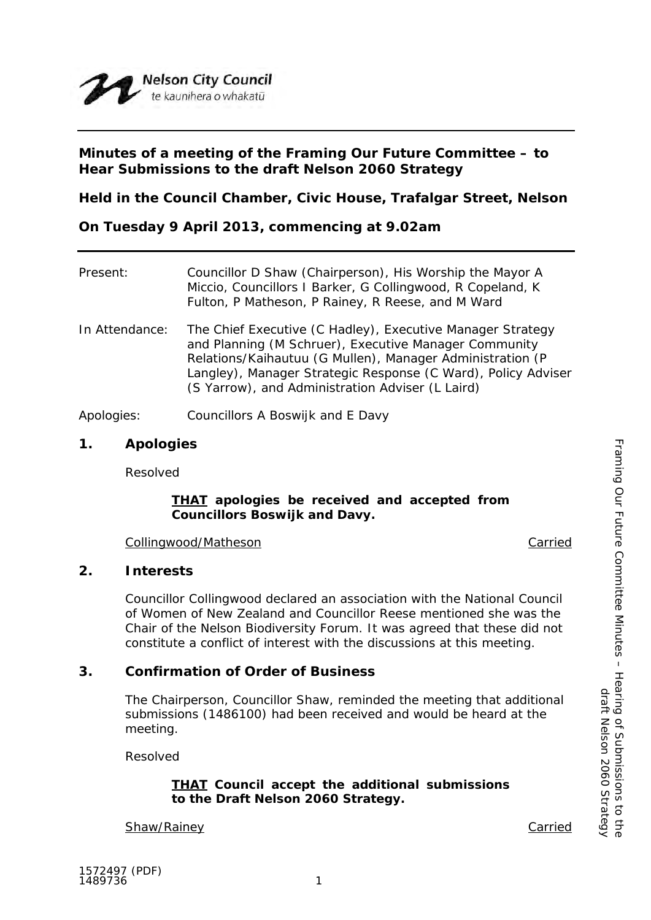

## **Minutes of a meeting of the Framing Our Future Committee – to Hear Submissions to the draft Nelson 2060 Strategy**

**Held in the Council Chamber, Civic House, Trafalgar Street, Nelson**

**On Tuesday 9 April 2013, commencing at 9.02am**

| Present:       | Councillor D Shaw (Chairperson), His Worship the Mayor A<br>Miccio, Councillors I Barker, G Collingwood, R Copeland, K<br>Fulton, P Matheson, P Rainey, R Reese, and M Ward                                                                                                                           |
|----------------|-------------------------------------------------------------------------------------------------------------------------------------------------------------------------------------------------------------------------------------------------------------------------------------------------------|
| In Attendance: | The Chief Executive (C Hadley), Executive Manager Strategy<br>and Planning (M Schruer), Executive Manager Community<br>Relations/Kaihautuu (G Mullen), Manager Administration (P<br>Langley), Manager Strategic Response (C Ward), Policy Adviser<br>(S Yarrow), and Administration Adviser (L Laird) |
| Apologies:     | Councillors A Boswijk and E Davy                                                                                                                                                                                                                                                                      |

## **1. Apologies**

Resolved

### *THAT apologies be received and accepted from Councillors Boswijk and Davy.*

Collingwood/Matheson Carried

## **2. Interests**

Councillor Collingwood declared an association with the National Council of Women of New Zealand and Councillor Reese mentioned she was the Chair of the Nelson Biodiversity Forum. It was agreed that these did not constitute a conflict of interest with the discussions at this meeting.

## **3. Confirmation of Order of Business**

The Chairperson, Councillor Shaw, reminded the meeting that additional submissions (1486100) had been received and would be heard at the meeting.

Resolved

### *THAT Council accept the additional submissions to the Draft Nelson 2060 Strategy.*

**Shaw/Rainey Carried**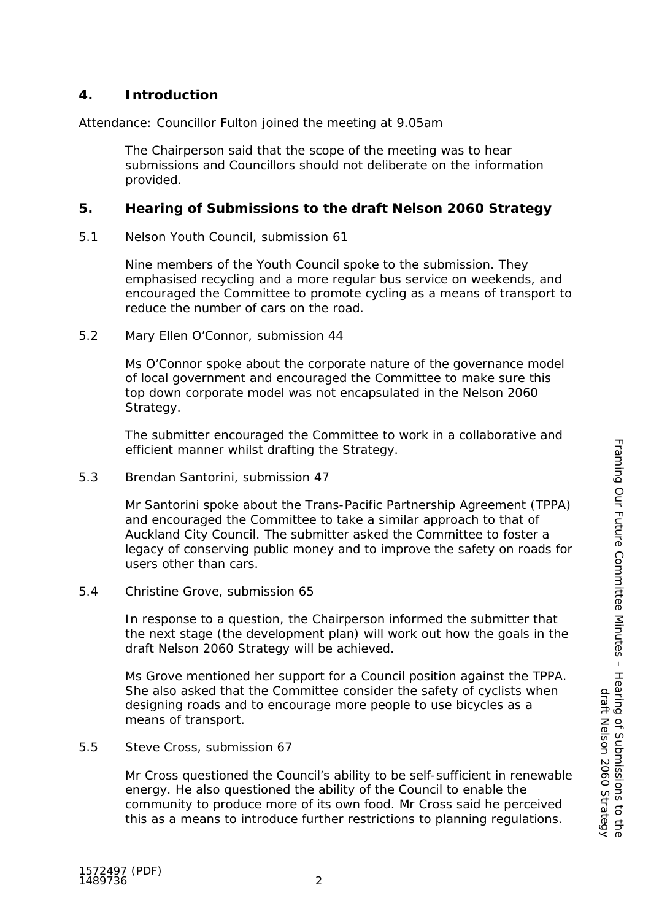# **4. Introduction**

Attendance: Councillor Fulton joined the meeting at 9.05am

The Chairperson said that the scope of the meeting was to hear submissions and Councillors should not deliberate on the information provided.

## **5. Hearing of Submissions to the draft Nelson 2060 Strategy**

5.1 Nelson Youth Council, submission 61

Nine members of the Youth Council spoke to the submission. They emphasised recycling and a more regular bus service on weekends, and encouraged the Committee to promote cycling as a means of transport to reduce the number of cars on the road.

5.2 Mary Ellen O'Connor, submission 44

Ms O'Connor spoke about the corporate nature of the governance model of local government and encouraged the Committee to make sure this top down corporate model was not encapsulated in the Nelson 2060 Strategy.

The submitter encouraged the Committee to work in a collaborative and efficient manner whilst drafting the Strategy.

5.3 Brendan Santorini, submission 47

Mr Santorini spoke about the Trans-Pacific Partnership Agreement (TPPA) and encouraged the Committee to take a similar approach to that of Auckland City Council. The submitter asked the Committee to foster a legacy of conserving public money and to improve the safety on roads for users other than cars.

### 5.4 Christine Grove, submission 65

In response to a question, the Chairperson informed the submitter that the next stage (the development plan) will work out how the goals in the draft Nelson 2060 Strategy will be achieved.

Ms Grove mentioned her support for a Council position against the TPPA. She also asked that the Committee consider the safety of cyclists when designing roads and to encourage more people to use bicycles as a means of transport.

#### 5.5 Steve Cross, submission 67

Mr Cross questioned the Council's ability to be self-sufficient in renewable energy. He also questioned the ability of the Council to enable the community to produce more of its own food. Mr Cross said he perceived this as a means to introduce further restrictions to planning regulations.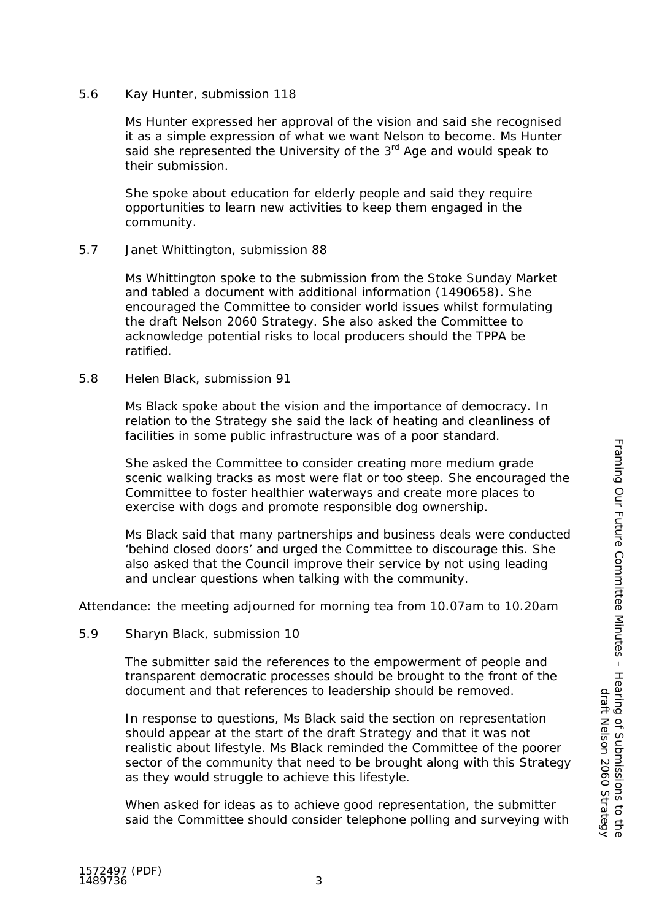Ms Hunter expressed her approval of the vision and said she recognised it as a simple expression of what we want Nelson to become. Ms Hunter said she represented the University of the  $3<sup>rd</sup>$  Age and would speak to their submission.

She spoke about education for elderly people and said they require opportunities to learn new activities to keep them engaged in the community.

### 5.7 Janet Whittington, submission 88

Ms Whittington spoke to the submission from the Stoke Sunday Market and tabled a document with additional information (1490658). She encouraged the Committee to consider world issues whilst formulating the draft Nelson 2060 Strategy. She also asked the Committee to acknowledge potential risks to local producers should the TPPA be ratified.

### 5.8 Helen Black, submission 91

Ms Black spoke about the vision and the importance of democracy. In relation to the Strategy she said the lack of heating and cleanliness of facilities in some public infrastructure was of a poor standard.

She asked the Committee to consider creating more medium grade scenic walking tracks as most were flat or too steep. She encouraged the Committee to foster healthier waterways and create more places to exercise with dogs and promote responsible dog ownership.

Ms Black said that many partnerships and business deals were conducted 'behind closed doors' and urged the Committee to discourage this. She also asked that the Council improve their service by not using leading and unclear questions when talking with the community.

Attendance: the meeting adjourned for morning tea from 10.07am to 10.20am

5.9 Sharyn Black, submission 10

The submitter said the references to the empowerment of people and transparent democratic processes should be brought to the front of the document and that references to leadership should be removed.

In response to questions, Ms Black said the section on representation should appear at the start of the draft Strategy and that it was not realistic about lifestyle. Ms Black reminded the Committee of the poorer sector of the community that need to be brought along with this Strategy as they would struggle to achieve this lifestyle.

When asked for ideas as to achieve good representation, the submitter said the Committee should consider telephone polling and surveying with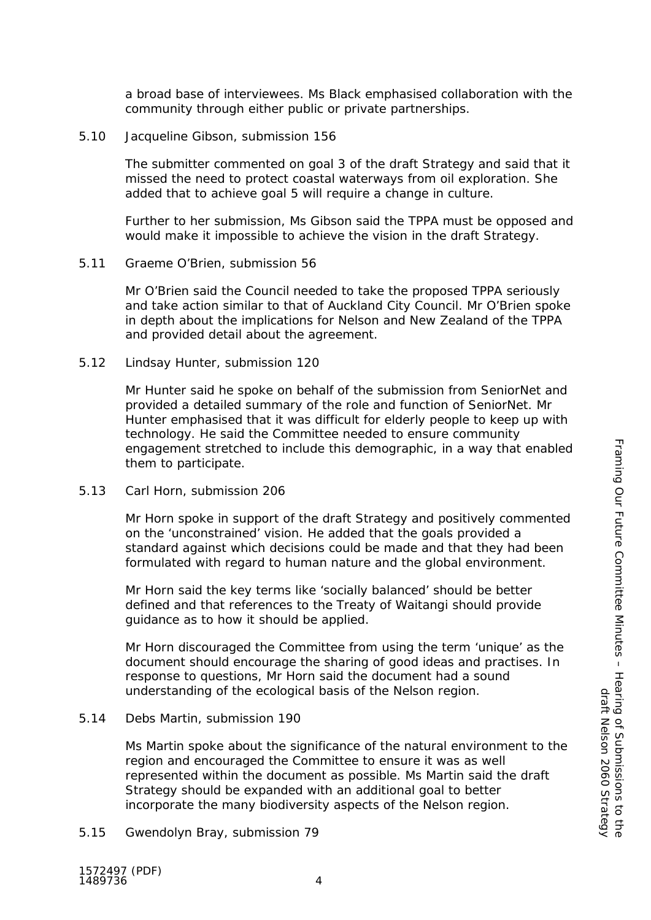a broad base of interviewees. Ms Black emphasised collaboration with the community through either public or private partnerships.

5.10 Jacqueline Gibson, submission 156

The submitter commented on goal 3 of the draft Strategy and said that it missed the need to protect coastal waterways from oil exploration. She added that to achieve goal 5 will require a change in culture.

Further to her submission, Ms Gibson said the TPPA must be opposed and would make it impossible to achieve the vision in the draft Strategy.

5.11 Graeme O'Brien, submission 56

Mr O'Brien said the Council needed to take the proposed TPPA seriously and take action similar to that of Auckland City Council. Mr O'Brien spoke in depth about the implications for Nelson and New Zealand of the TPPA and provided detail about the agreement.

5.12 Lindsay Hunter, submission 120

Mr Hunter said he spoke on behalf of the submission from SeniorNet and provided a detailed summary of the role and function of SeniorNet. Mr Hunter emphasised that it was difficult for elderly people to keep up with technology. He said the Committee needed to ensure community engagement stretched to include this demographic, in a way that enabled them to participate.

5.13 Carl Horn, submission 206

Mr Horn spoke in support of the draft Strategy and positively commented on the 'unconstrained' vision. He added that the goals provided a standard against which decisions could be made and that they had been formulated with regard to human nature and the global environment.

Mr Horn said the key terms like 'socially balanced' should be better defined and that references to the Treaty of Waitangi should provide guidance as to how it should be applied.

Mr Horn discouraged the Committee from using the term 'unique' as the document should encourage the sharing of good ideas and practises. In response to questions, Mr Horn said the document had a sound understanding of the ecological basis of the Nelson region.

5.14 Debs Martin, submission 190

Ms Martin spoke about the significance of the natural environment to the region and encouraged the Committee to ensure it was as well represented within the document as possible. Ms Martin said the draft Strategy should be expanded with an additional goal to better incorporate the many biodiversity aspects of the Nelson region.

5.15 Gwendolyn Bray, submission 79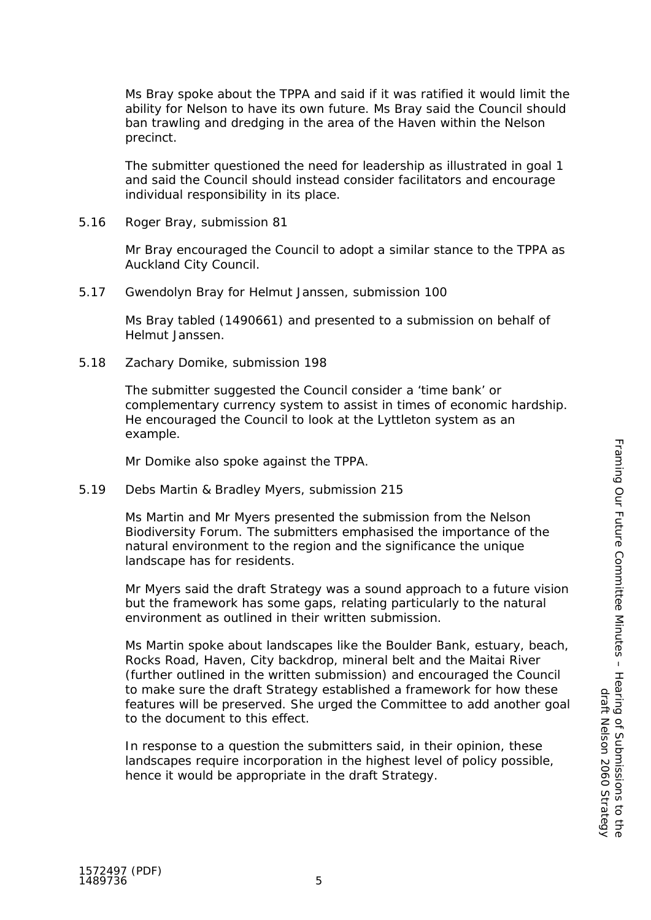Ms Bray spoke about the TPPA and said if it was ratified it would limit the ability for Nelson to have its own future. Ms Bray said the Council should ban trawling and dredging in the area of the Haven within the Nelson precinct.

The submitter questioned the need for leadership as illustrated in goal 1 and said the Council should instead consider facilitators and encourage individual responsibility in its place.

5.16 Roger Bray, submission 81

Mr Bray encouraged the Council to adopt a similar stance to the TPPA as Auckland City Council.

5.17 Gwendolyn Bray for Helmut Janssen, submission 100

Ms Bray tabled (1490661) and presented to a submission on behalf of Helmut Janssen.

5.18 Zachary Domike, submission 198

The submitter suggested the Council consider a 'time bank' or complementary currency system to assist in times of economic hardship. He encouraged the Council to look at the Lyttleton system as an example.

Mr Domike also spoke against the TPPA.

5.19 Debs Martin & Bradley Myers, submission 215

Ms Martin and Mr Myers presented the submission from the Nelson Biodiversity Forum. The submitters emphasised the importance of the natural environment to the region and the significance the unique landscape has for residents.

Mr Myers said the draft Strategy was a sound approach to a future vision but the framework has some gaps, relating particularly to the natural environment as outlined in their written submission.

Ms Martin spoke about landscapes like the Boulder Bank, estuary, beach, Rocks Road, Haven, City backdrop, mineral belt and the Maitai River (further outlined in the written submission) and encouraged the Council to make sure the draft Strategy established a framework for how these features will be preserved. She urged the Committee to add another goal to the document to this effect.

In response to a question the submitters said, in their opinion, these landscapes require incorporation in the highest level of policy possible, hence it would be appropriate in the draft Strategy.